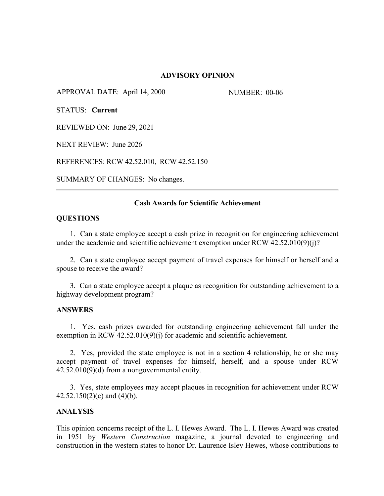### **ADVISORY OPINION**

APPROVAL DATE: April 14, 2000 NUMBER: 00-06

STATUS: **Current**

REVIEWED ON: June 29, 2021

NEXT REVIEW: June 2026

REFERENCES: RCW 42.52.010, RCW 42.52.150

SUMMARY OF CHANGES: No changes.

### **Cash Awards for Scientific Achievement**

### **QUESTIONS**

1. Can a state employee accept a cash prize in recognition for engineering achievement under the academic and scientific achievement exemption under RCW 42.52.010(9)(j)?

2. Can a state employee accept payment of travel expenses for himself or herself and a spouse to receive the award?

3. Can a state employee accept a plaque as recognition for outstanding achievement to a highway development program?

# **ANSWERS**

1. Yes, cash prizes awarded for outstanding engineering achievement fall under the exemption in RCW 42.52.010(9)(j) for academic and scientific achievement.

2. Yes, provided the state employee is not in a section 4 relationship, he or she may accept payment of travel expenses for himself, herself, and a spouse under RCW 42.52.010(9)(d) from a nongovernmental entity.

3. Yes, state employees may accept plaques in recognition for achievement under RCW  $42.52.150(2)(c)$  and  $(4)(b)$ .

# **ANALYSIS**

This opinion concerns receipt of the L. I. Hewes Award. The L. I. Hewes Award was created in 1951 by *Western Construction* magazine, a journal devoted to engineering and construction in the western states to honor Dr. Laurence Isley Hewes, whose contributions to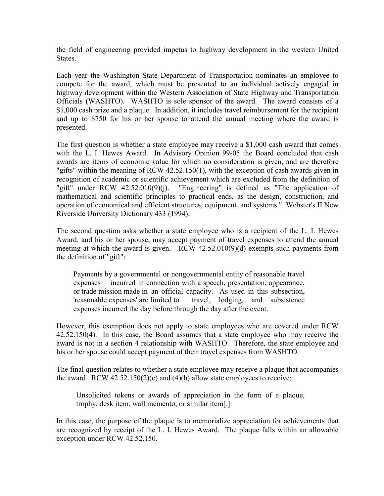the field of engineering provided impetus to highway development in the western United States.

Each year the Washington State Department of Transportation nominates an employee to compete for the award, which must be presented to an individual actively engaged in highway development within the Western Association of State Highway and Transportation Officials (WASHTO). WASHTO is sole sponsor of the award. The award consists of a \$1,000 cash prize and a plaque. In addition, it includes travel reimbursement for the recipient and up to \$750 for his or her spouse to attend the annual meeting where the award is presented.

The first question is whether a state employee may receive a \$1,000 cash award that comes with the L. I. Hewes Award. In Advisory Opinion 99-05 the Board concluded that cash awards are items of economic value for which no consideration is given, and are therefore "gifts" within the meaning of RCW 42.52.150(1), with the exception of cash awards given in recognition of academic or scientific achievement which are excluded from the definition of "gift" under RCW 42.52.010(9)(j). "Engineering" is defined as "The application of mathematical and scientific principles to practical ends, as the design, construction, and operation of economical and efficient structures, equipment, and systems." Webster's II New Riverside University Dictionary 433 (1994).

The second question asks whether a state employee who is a recipient of the L. I. Hewes Award, and his or her spouse, may accept payment of travel expenses to attend the annual meeting at which the award is given. RCW 42.52.010(9)(d) exempts such payments from the definition of "gift":

Payments by a governmental or nongovernmental entity of reasonable travel expenses incurred in connection with a speech, presentation, appearance, or trade mission made in an official capacity. As used in this subsection, 'reasonable expenses' are limited to travel, lodging, and subsistence expenses incurred the day before through the day after the event.

However, this exemption does not apply to state employees who are covered under RCW 42.52.150(4). In this case, the Board assumes that a state employee who may receive the award is not in a section 4 relationship with WASHTO. Therefore, the state employee and his or her spouse could accept payment of their travel expenses from WASHTO.

The final question relates to whether a state employee may receive a plaque that accompanies the award. RCW  $42.52.150(2)(c)$  and  $(4)(b)$  allow state employees to receive:

Unsolicited tokens or awards of appreciation in the form of a plaque, trophy, desk item, wall memento, or similar item[.]

In this case, the purpose of the plaque is to memorialize appreciation for achievements that are recognized by receipt of the L. I. Hewes Award. The plaque falls within an allowable exception under RCW 42.52.150.